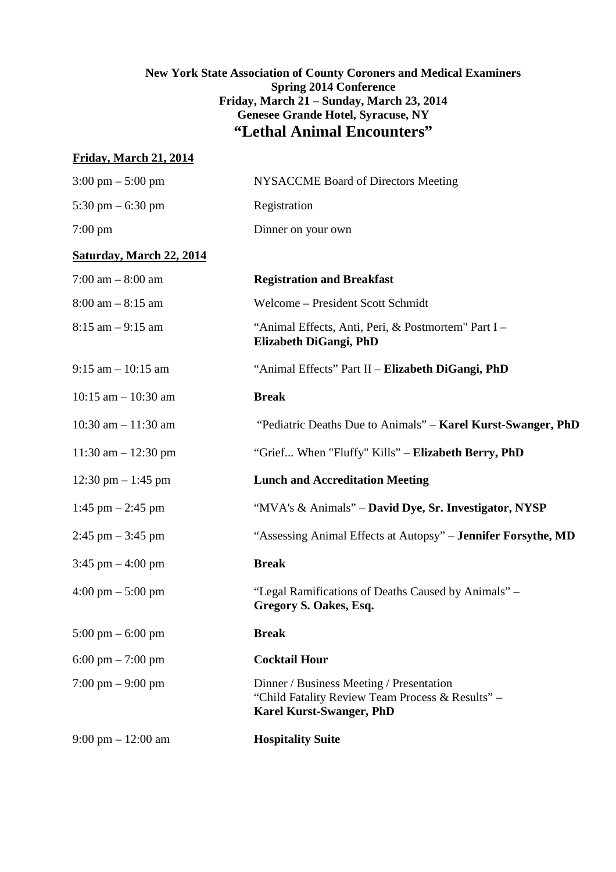# **New York State Association of County Coroners and Medical Examiners Spring 2014 Conference Friday, March 21 – Sunday, March 23, 2014 Genesee Grande Hotel, Syracuse, NY "Lethal Animal Encounters"**

# **Friday, March 21, 2014**

| $3:00 \text{ pm} - 5:00 \text{ pm}$  | <b>NYSACCME Board of Directors Meeting</b>                                                                                      |
|--------------------------------------|---------------------------------------------------------------------------------------------------------------------------------|
| 5:30 pm $-$ 6:30 pm                  | Registration                                                                                                                    |
| $7:00 \text{ pm}$                    | Dinner on your own                                                                                                              |
| <b>Saturday, March 22, 2014</b>      |                                                                                                                                 |
| $7:00$ am $-8:00$ am                 | <b>Registration and Breakfast</b>                                                                                               |
| $8:00$ am $-8:15$ am                 | Welcome - President Scott Schmidt                                                                                               |
| $8:15$ am $-9:15$ am                 | "Animal Effects, Anti, Peri, & Postmortem" Part I -<br>Elizabeth DiGangi, PhD                                                   |
| $9:15$ am $-10:15$ am                | "Animal Effects" Part II - Elizabeth DiGangi, PhD                                                                               |
| $10:15$ am $-10:30$ am               | <b>Break</b>                                                                                                                    |
| 10:30 am $- 11:30$ am                | "Pediatric Deaths Due to Animals" – Karel Kurst-Swanger, PhD                                                                    |
| $11:30$ am $- 12:30$ pm              | "Grief When "Fluffy" Kills" - Elizabeth Berry, PhD                                                                              |
| $12:30 \text{ pm} - 1:45 \text{ pm}$ | <b>Lunch and Accreditation Meeting</b>                                                                                          |
| 1:45 pm $-$ 2:45 pm                  | "MVA's & Animals" - David Dye, Sr. Investigator, NYSP                                                                           |
| $2:45$ pm $-3:45$ pm                 | "Assessing Animal Effects at Autopsy" - Jennifer Forsythe, MD                                                                   |
| $3:45$ pm $-4:00$ pm                 | <b>Break</b>                                                                                                                    |
| $4:00 \text{ pm} - 5:00 \text{ pm}$  | "Legal Ramifications of Deaths Caused by Animals" –<br>Gregory S. Oakes, Esq.                                                   |
| $5:00 \text{ pm} - 6:00 \text{ pm}$  | <b>Break</b>                                                                                                                    |
| $6:00 \text{ pm} - 7:00 \text{ pm}$  | <b>Cocktail Hour</b>                                                                                                            |
| $7:00 \text{ pm} - 9:00 \text{ pm}$  | Dinner / Business Meeting / Presentation<br>"Child Fatality Review Team Process & Results" -<br><b>Karel Kurst-Swanger, PhD</b> |
| $9:00 \text{ pm} - 12:00 \text{ am}$ | <b>Hospitality Suite</b>                                                                                                        |